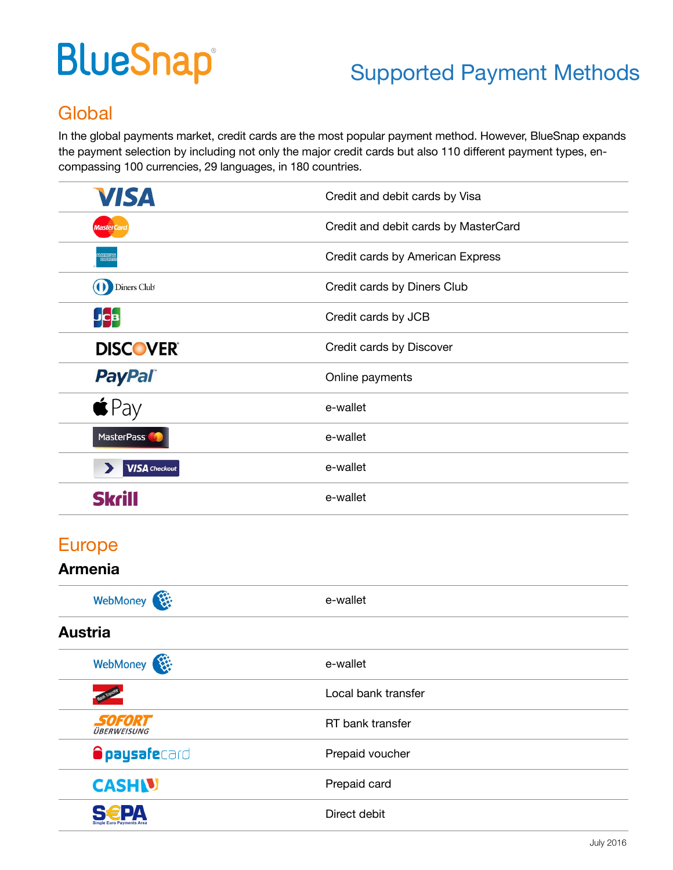# **BlueSnap®**

## Supported Payment Methods

## **Global**

In the global payments market, credit cards are the most popular payment method. However, BlueSnap expands the payment selection by including not only the major credit cards but also 110 different payment types, encompassing 100 currencies, 29 languages, in 180 countries.

| Credit and debit cards by Visa       |
|--------------------------------------|
| Credit and debit cards by MasterCard |
| Credit cards by American Express     |
| Credit cards by Diners Club          |
| Credit cards by JCB                  |
| Credit cards by Discover             |
| Online payments                      |
| e-wallet                             |
| e-wallet                             |
| e-wallet                             |
| e-wallet                             |
|                                      |

## Europe

#### **Armenia**

| WebMoney                            | e-wallet            |  |
|-------------------------------------|---------------------|--|
| <b>Austria</b>                      |                     |  |
| WebMoney                            | e-wallet            |  |
|                                     | Local bank transfer |  |
| <b>SOFORT</b><br><b>ÜBERWEISUNG</b> | RT bank transfer    |  |
| <b>Opaysafe</b> card                | Prepaid voucher     |  |
| <b>CASHN</b>                        | Prepaid card        |  |
| <b>Single Euro Payments Area</b>    | Direct debit        |  |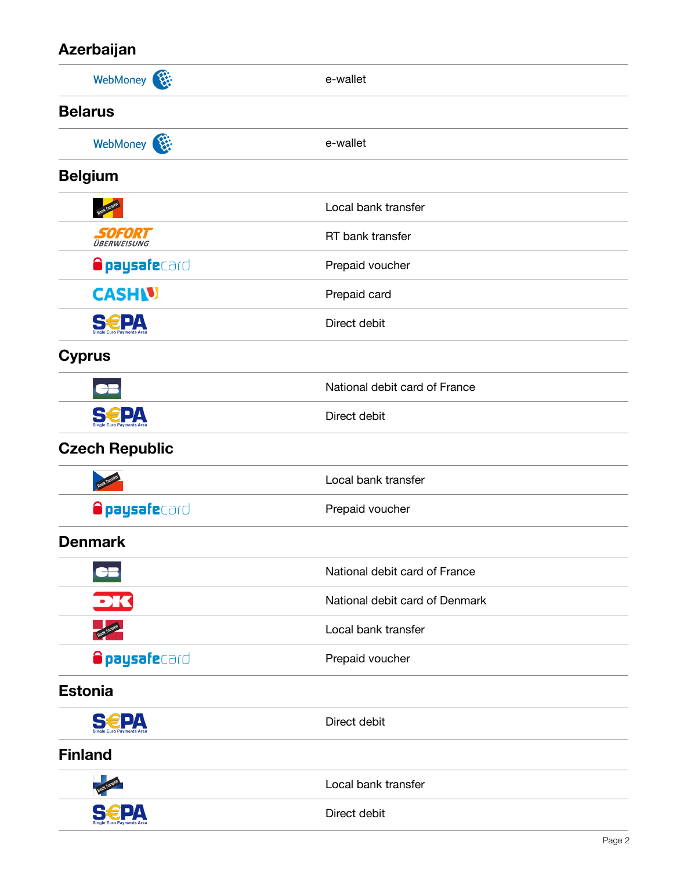#### **Azerbaijan**

| <b>REA</b><br>WebMoney <sup>(</sup> | e-wallet                       |
|-------------------------------------|--------------------------------|
| <b>Belarus</b>                      |                                |
| WebMoney                            | e-wallet                       |
| <b>Belgium</b>                      |                                |
|                                     | Local bank transfer            |
| SOFORT<br><b>ÜBERWEISUNG</b>        | RT bank transfer               |
| <b>Opaysafe</b> card                | Prepaid voucher                |
| <b>CASHIV</b>                       | Prepaid card                   |
| <b>S€PA</b>                         | Direct debit                   |
| <b>Cyprus</b>                       |                                |
|                                     | National debit card of France  |
| <b>S€PA</b>                         | Direct debit                   |
| <b>Czech Republic</b>               |                                |
|                                     | Local bank transfer            |
| <b>Opaysafe</b> card                | Prepaid voucher                |
| <b>Denmark</b>                      |                                |
|                                     | National debit card of France  |
| DK                                  | National debit card of Denmark |
|                                     | Local bank transfer            |
| <b>Opaysafe</b> card                | Prepaid voucher                |
| <b>Estonia</b>                      |                                |
| <b>S€PA</b>                         | Direct debit                   |
| <b>Finland</b>                      |                                |
|                                     | Local bank transfer            |
|                                     | Direct debit                   |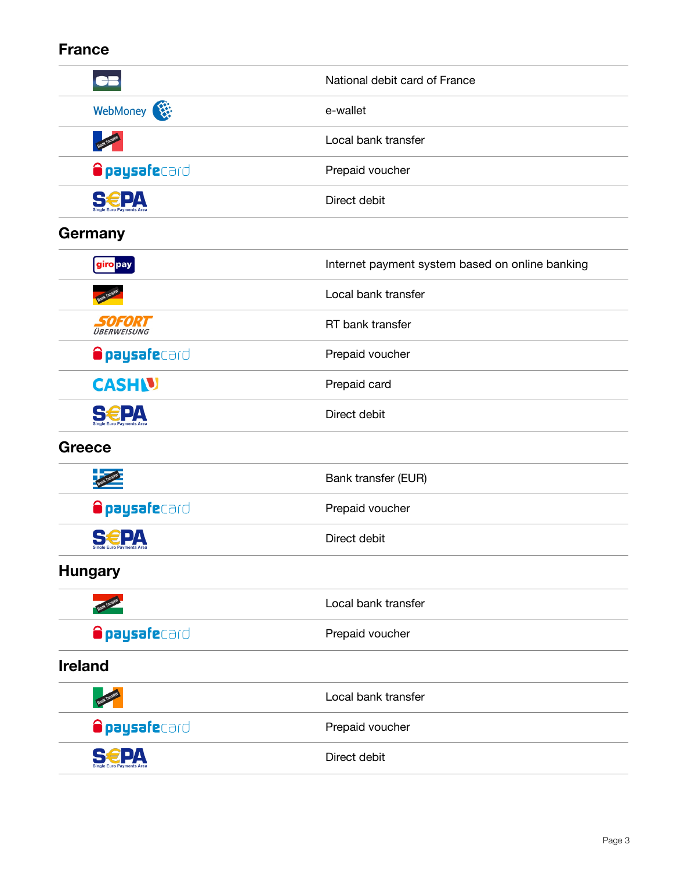#### **France**

|                       | National debit card of France                   |
|-----------------------|-------------------------------------------------|
| WebMoney              | e-wallet                                        |
| <b>Bank Transfer</b>  | Local bank transfer                             |
| <b>Opaysafe</b> card  | Prepaid voucher                                 |
| <b>S€PA</b>           | Direct debit                                    |
| Germany               |                                                 |
| giro pay              | Internet payment system based on online banking |
|                       | Local bank transfer                             |
| 505020<br>ÜBERWEISUNG | RT bank transfer                                |
| <b>Opaysafe</b> card  | Prepaid voucher                                 |
| <b>CASHN</b>          | Prepaid card                                    |
| €P∆                   | Direct debit                                    |
| <b>Greece</b>         |                                                 |
|                       | Bank transfer (EUR)                             |
| <b>Opaysafe</b> card  | Prepaid voucher                                 |
|                       | Direct debit                                    |
| <b>Hungary</b>        |                                                 |
| <b>Bank Transf</b>    | Local bank transfer                             |
| <b>Opaysafe</b> card  | Prepaid voucher                                 |
| <b>Ireland</b>        |                                                 |
| <b>Bank Tra</b>       | Local bank transfer                             |
| <b>Opaysafe</b> card  | Prepaid voucher                                 |
| PA                    | Direct debit                                    |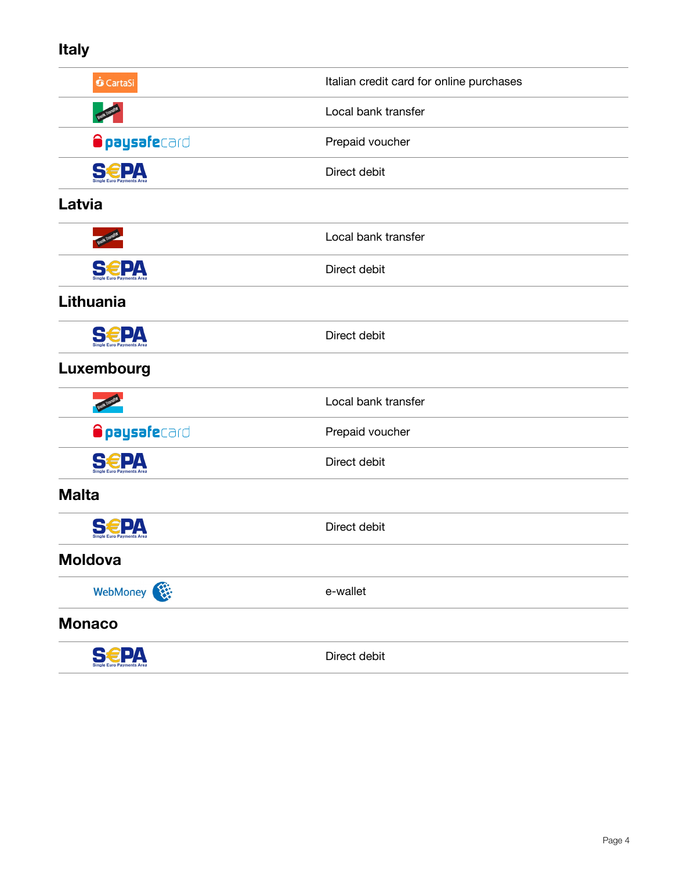#### **Italy**

| <b>O</b> CartaSi     | Italian credit card for online purchases |
|----------------------|------------------------------------------|
| <b>Bank Trans</b>    | Local bank transfer                      |
| <b>Opaysafe</b> card | Prepaid voucher                          |
| <b>S€PA</b>          | Direct debit                             |
| Latvia               |                                          |
|                      | Local bank transfer                      |
| <b>SEPA</b>          | Direct debit                             |
| Lithuania            |                                          |
| <b>S€PA</b>          | Direct debit                             |
| Luxembourg           |                                          |
|                      | Local bank transfer                      |
| <b>Opaysafe</b> card | Prepaid voucher                          |
| <b>EPA</b>           | Direct debit                             |
| <b>Malta</b>         |                                          |
|                      | Direct debit                             |
| <b>Moldova</b>       |                                          |
| WebMoney             | e-wallet                                 |
| <b>Monaco</b>        |                                          |
| <b>S€PA</b>          | Direct debit                             |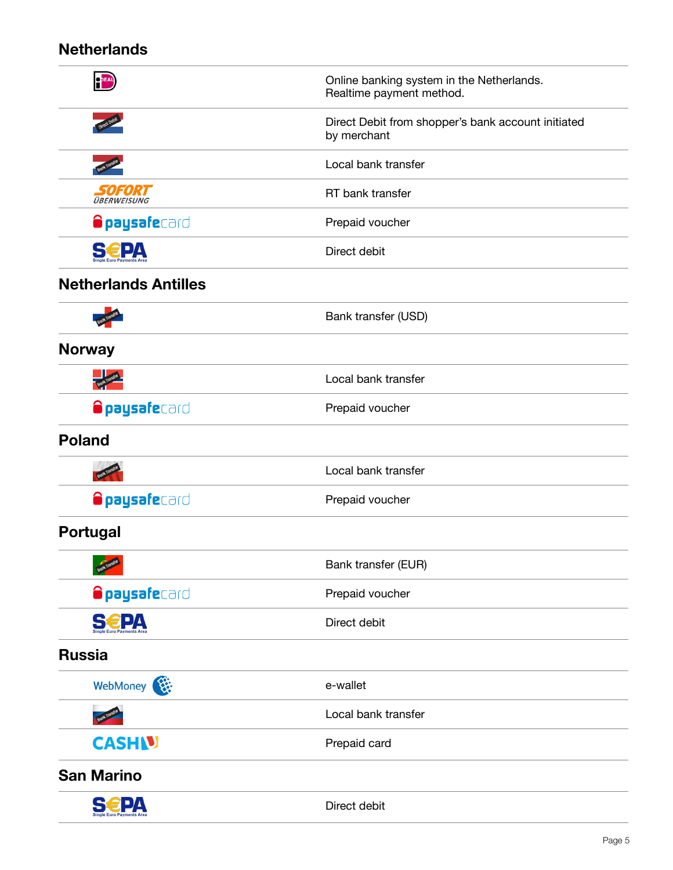#### **Netherlands**

| PEAL                                            | Online banking system in the Netherlands.<br>Realtime payment method. |
|-------------------------------------------------|-----------------------------------------------------------------------|
|                                                 | Direct Debit from shopper's bank account initiated<br>by merchant     |
|                                                 | Local bank transfer                                                   |
| SOFORT<br>ÜBERWEISUNG                           | RT bank transfer                                                      |
| <b>Opaysafe</b> card                            | Prepaid voucher                                                       |
| <b>S€PA</b>                                     | Direct debit                                                          |
| <b>Netherlands Antilles</b>                     |                                                                       |
|                                                 | Bank transfer (USD)                                                   |
| <b>Norway</b>                                   |                                                                       |
|                                                 | Local bank transfer                                                   |
| <b>Opaysafe</b> card                            | Prepaid voucher                                                       |
| <b>Poland</b>                                   |                                                                       |
|                                                 | Local bank transfer                                                   |
| <b>Opaysafe</b> card                            | Prepaid voucher                                                       |
| <b>Portugal</b>                                 |                                                                       |
| $\overline{\mathbf{A}}$<br><b>Bank Transfer</b> | Bank transfer (EUR)                                                   |
| <b>Opaysafe</b> card                            | Prepaid voucher                                                       |
| <b>S€PA</b>                                     | Direct debit                                                          |
| <b>Russia</b>                                   |                                                                       |
| WebMoney                                        | e-wallet                                                              |
|                                                 | Local bank transfer                                                   |
| <b>CASHIV</b>                                   | Prepaid card                                                          |
| <b>San Marino</b>                               |                                                                       |
| <b>SEPA</b>                                     | Direct debit                                                          |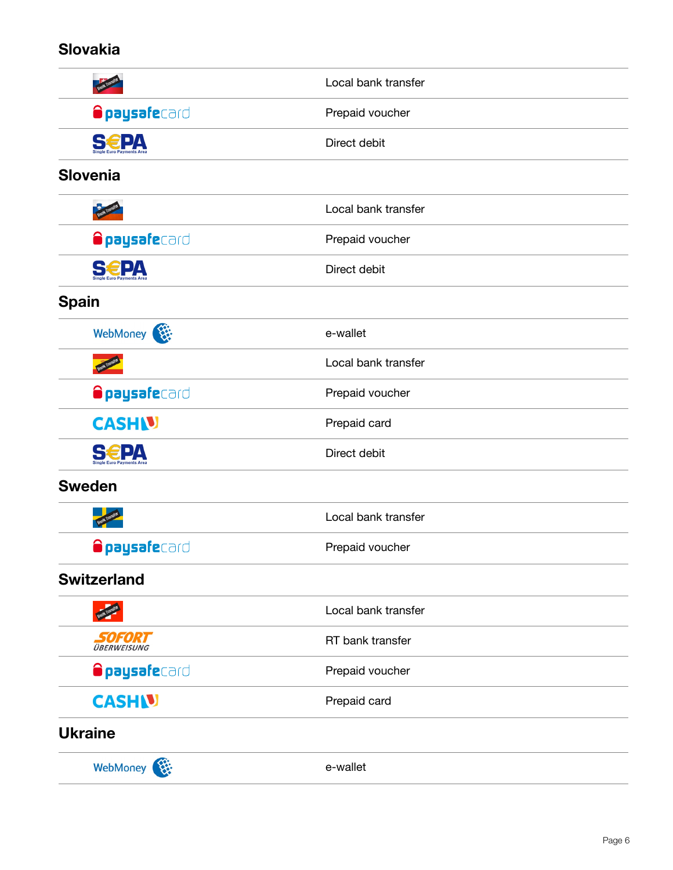#### **Slovakia**

|                           | Local bank transfer |
|---------------------------|---------------------|
| <b>Opaysafe</b> card      | Prepaid voucher     |
| <b>S€PA</b>               | Direct debit        |
| <b>Slovenia</b>           |                     |
|                           | Local bank transfer |
| <b>Opaysafe</b> card      | Prepaid voucher     |
| Single Euro Payments Area | Direct debit        |
| <b>Spain</b>              |                     |
| WebMoney                  | e-wallet            |
|                           | Local bank transfer |
| <b>Opaysafe</b> card      | Prepaid voucher     |
| <b>CASHIV</b>             | Prepaid card        |
| <b>S€PA</b>               | Direct debit        |
| <b>Sweden</b>             |                     |
|                           | Local bank transfer |
| <b>Opaysafe</b> card      | Prepaid voucher     |
| <b>Switzerland</b>        |                     |
|                           | Local bank transfer |
| SOFORT<br>ÜBERWEISUNG     | RT bank transfer    |
| <b>Opaysafe</b> card      | Prepaid voucher     |
| <b>CASHN</b>              | Prepaid card        |
| <b>Ukraine</b>            |                     |
| WebMoney                  | e-wallet            |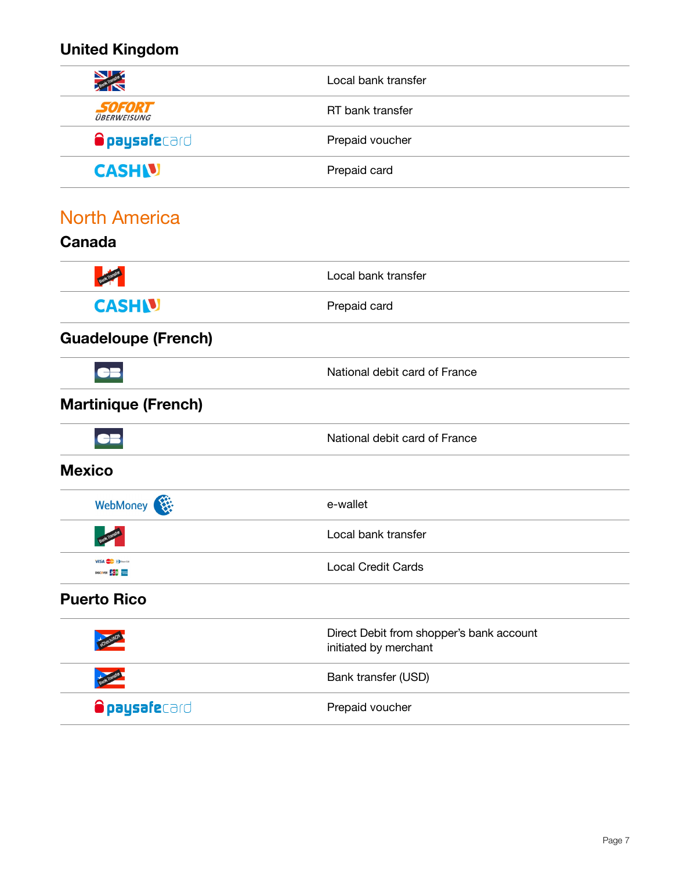## **United Kingdom**

| $\blacktriangleright$                   | Local bank transfer                                               |
|-----------------------------------------|-------------------------------------------------------------------|
| SOFORT<br><i><b>BERWEISUNG</b></i>      | RT bank transfer                                                  |
| <b>Opaysafe</b> card                    | Prepaid voucher                                                   |
| <b>CASH V</b>                           | Prepaid card                                                      |
| <b>North America</b>                    |                                                                   |
| <b>Canada</b>                           |                                                                   |
|                                         | Local bank transfer                                               |
| <b>CASHIV</b>                           | Prepaid card                                                      |
| <b>Guadeloupe (French)</b>              |                                                                   |
|                                         | National debit card of France                                     |
| <b>Martinique (French)</b>              |                                                                   |
|                                         | National debit card of France                                     |
| <b>Mexico</b>                           |                                                                   |
| WebMoney                                | e-wallet                                                          |
|                                         | Local bank transfer                                               |
| VISA <b>OD</b> Dem Cab<br>DISCOVER DICE | <b>Local Credit Cards</b>                                         |
| <b>Puerto Rico</b>                      |                                                                   |
|                                         | Direct Debit from shopper's bank account<br>initiated by merchant |
|                                         | Bank transfer (USD)                                               |
| <b>Opaysafe</b> card                    | Prepaid voucher                                                   |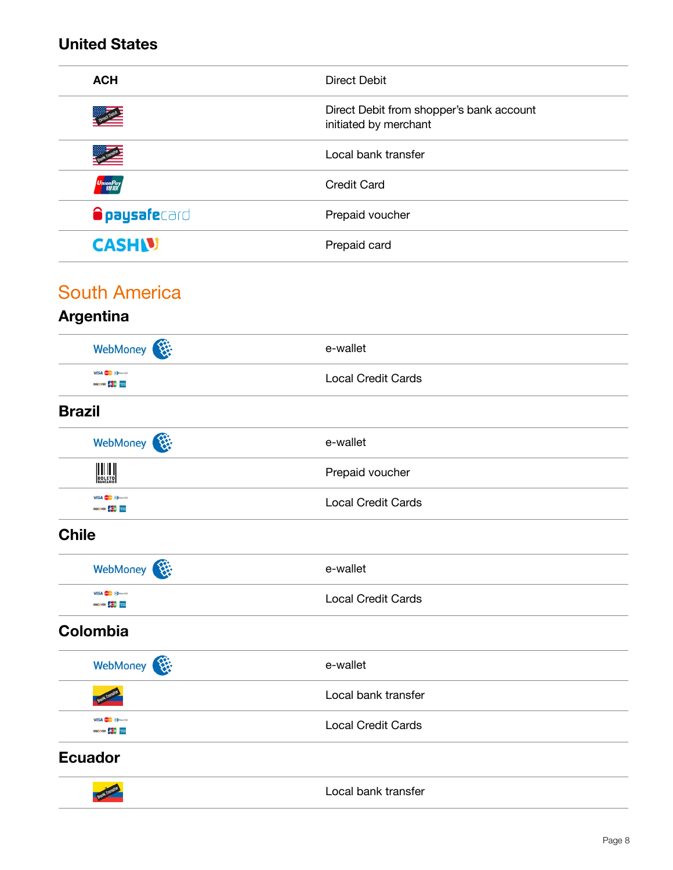#### **United States**

| <b>ACH</b>               | <b>Direct Debit</b>                                               |
|--------------------------|-------------------------------------------------------------------|
|                          | Direct Debit from shopper's bank account<br>initiated by merchant |
|                          | Local bank transfer                                               |
| UnionPay<br><b>ER</b> ER | <b>Credit Card</b>                                                |
| <b>Opaysafe</b> card     | Prepaid voucher                                                   |
| <b>CASHN</b>             | Prepaid card                                                      |
|                          |                                                                   |

#### South America

#### **Argentina** WebMoney  $\overline{\mathbf{R}}$  e-wallet **VISA D**DOWN Local Credit Cards **DISCOVER 555 Brazil**  WebMoney  $\overline{\mathbf{R}}$  e-wallet **BOLETO**<br>BOLETO Prepaid voucher **VISA D**Download Local Credit Cards DISCOVER **DISCOVER Chile** WebMoney **WebMoney VISA O** Download Local Credit Cards DISCOVER **DOCA Colombia** WebMoney  $\overline{\mathbf{R}}$  e-wallet Local bank transfer **VISA D**INGUM Local Credit Cards DISCOVER **DOD Ecuador** Local bank transfer **Bank Transf**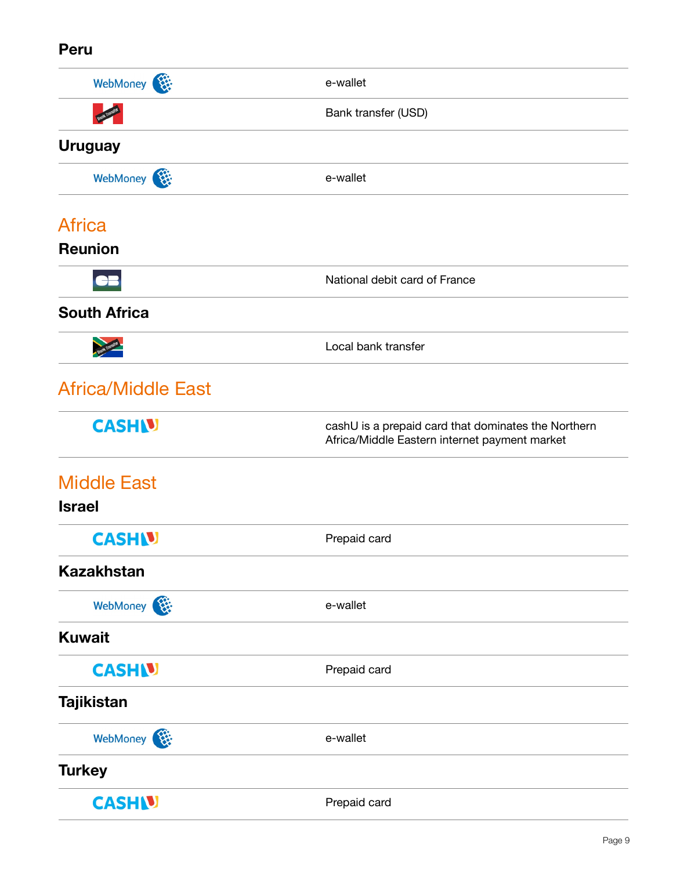#### **Peru**

| WebMoney                  | e-wallet                                                                                             |
|---------------------------|------------------------------------------------------------------------------------------------------|
|                           | Bank transfer (USD)                                                                                  |
| <b>Uruguay</b>            |                                                                                                      |
| WebMoney                  | e-wallet                                                                                             |
| <b>Africa</b>             |                                                                                                      |
| <b>Reunion</b>            |                                                                                                      |
| CB                        | National debit card of France                                                                        |
| <b>South Africa</b>       |                                                                                                      |
|                           | Local bank transfer                                                                                  |
| <b>Africa/Middle East</b> |                                                                                                      |
| <b>CASHN</b>              | cashU is a prepaid card that dominates the Northern<br>Africa/Middle Eastern internet payment market |
| <b>Middle East</b>        |                                                                                                      |
| <b>Israel</b>             |                                                                                                      |
| <b>CASHIV</b>             | Prepaid card                                                                                         |
| <b>Kazakhstan</b>         |                                                                                                      |
| WebMoney                  | e-wallet                                                                                             |
| <b>Kuwait</b>             |                                                                                                      |
| <b>CASHIV</b>             | Prepaid card                                                                                         |
| <b>Tajikistan</b>         |                                                                                                      |
| WebMoney                  | e-wallet                                                                                             |
| <b>Turkey</b>             |                                                                                                      |
| <b>CASHIV</b>             | Prepaid card                                                                                         |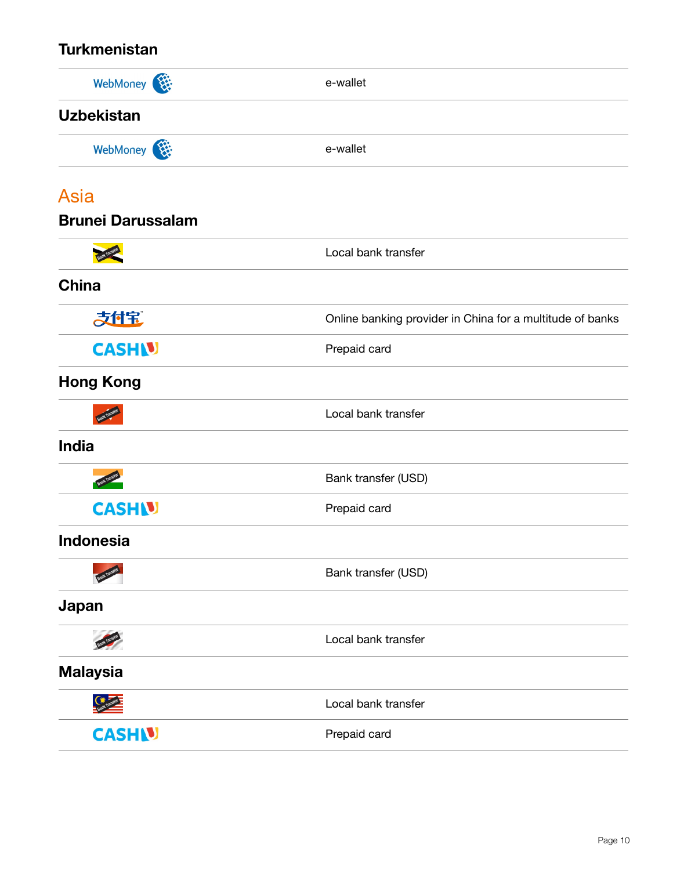#### **Turkmenistan**

| WebMoney                 | e-wallet                                                  |
|--------------------------|-----------------------------------------------------------|
| <b>Uzbekistan</b>        |                                                           |
| WebMoney                 | e-wallet                                                  |
| <b>Asia</b>              |                                                           |
| <b>Brunei Darussalam</b> |                                                           |
|                          | Local bank transfer                                       |
| <b>China</b>             |                                                           |
| 大付宝                      | Online banking provider in China for a multitude of banks |
| <b>CASHU</b>             | Prepaid card                                              |
| <b>Hong Kong</b>         |                                                           |
|                          | Local bank transfer                                       |
| <b>India</b>             |                                                           |
|                          | Bank transfer (USD)                                       |
| <b>CASHIV</b>            | Prepaid card                                              |
| <b>Indonesia</b>         |                                                           |
|                          | Bank transfer (USD)                                       |
| Japan                    |                                                           |
|                          | Local bank transfer                                       |
| <b>Malaysia</b>          |                                                           |
| $\mathbb{C}^*$           | Local bank transfer                                       |
| <b>CASH V</b>            | Prepaid card                                              |